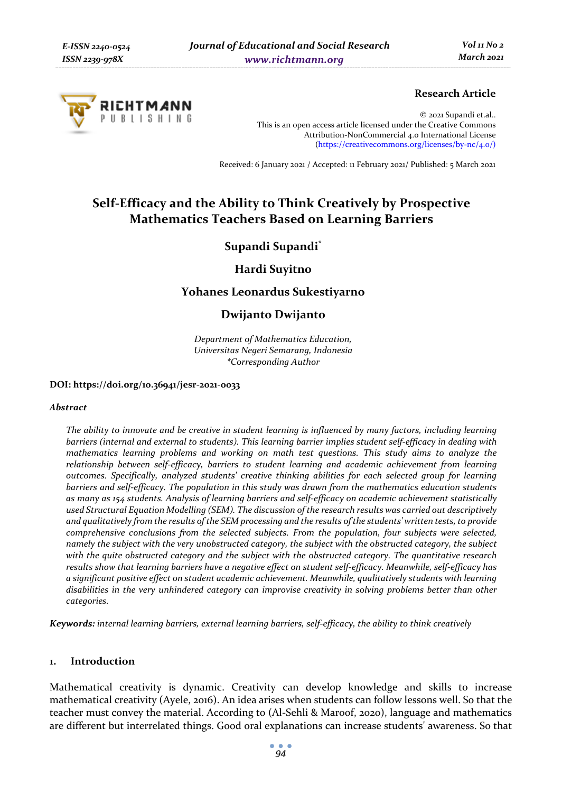

# **Research Article**

© 2021 Supandi et.al.. This is an open access article licensed under the Creative Commons Attribution-NonCommercial 4.0 International License (https://creativecommons.org/licenses/by-nc/4.0/)

Received: 6 January 2021 / Accepted: 11 February 2021/ Published: 5 March 2021

# **Self-Efficacy and the Ability to Think Creatively by Prospective Mathematics Teachers Based on Learning Barriers**

# **Supandi Supandi\***

# **Hardi Suyitno**

# **Yohanes Leonardus Sukestiyarno**

# **Dwijanto Dwijanto**

*Department of Mathematics Education, Universitas Negeri Semarang, Indonesia \*Corresponding Author* 

#### **DOI: https://doi.org/10.36941/jesr-2021-0033**

#### *Abstract*

*The ability to innovate and be creative in student learning is influenced by many factors, including learning barriers (internal and external to students). This learning barrier implies student self-efficacy in dealing with mathematics learning problems and working on math test questions. This study aims to analyze the relationship between self-efficacy, barriers to student learning and academic achievement from learning outcomes. Specifically, analyzed students' creative thinking abilities for each selected group for learning barriers and self-efficacy. The population in this study was drawn from the mathematics education students as many as 154 students. Analysis of learning barriers and self-efficacy on academic achievement statistically used Structural Equation Modelling (SEM). The discussion of the research results was carried out descriptively and qualitatively from the results of the SEM processing and the results of the students' written tests, to provide comprehensive conclusions from the selected subjects. From the population, four subjects were selected, namely the subject with the very unobstructed category, the subject with the obstructed category, the subject with the quite obstructed category and the subject with the obstructed category. The quantitative research results show that learning barriers have a negative effect on student self-efficacy. Meanwhile, self-efficacy has a significant positive effect on student academic achievement. Meanwhile, qualitatively students with learning disabilities in the very unhindered category can improvise creativity in solving problems better than other categories.* 

*Keywords: internal learning barriers, external learning barriers, self-efficacy, the ability to think creatively* 

#### **1. Introduction**

Mathematical creativity is dynamic. Creativity can develop knowledge and skills to increase mathematical creativity (Ayele, 2016). An idea arises when students can follow lessons well. So that the teacher must convey the material. According to (Al-Sehli & Maroof, 2020), language and mathematics are different but interrelated things. Good oral explanations can increase students' awareness. So that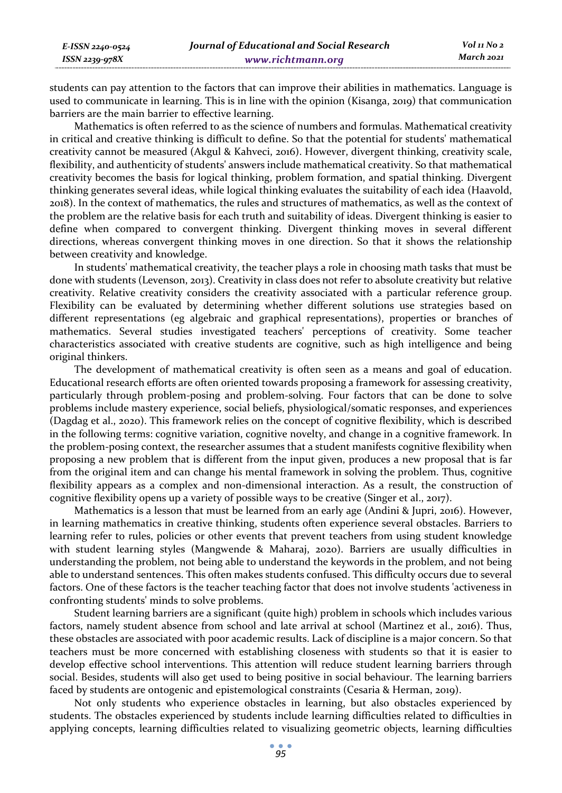students can pay attention to the factors that can improve their abilities in mathematics. Language is used to communicate in learning. This is in line with the opinion (Kisanga, 2019) that communication barriers are the main barrier to effective learning.

Mathematics is often referred to as the science of numbers and formulas. Mathematical creativity in critical and creative thinking is difficult to define. So that the potential for students' mathematical creativity cannot be measured (Akgul & Kahveci, 2016). However, divergent thinking, creativity scale, flexibility, and authenticity of students' answers include mathematical creativity. So that mathematical creativity becomes the basis for logical thinking, problem formation, and spatial thinking. Divergent thinking generates several ideas, while logical thinking evaluates the suitability of each idea (Haavold, 2018). In the context of mathematics, the rules and structures of mathematics, as well as the context of the problem are the relative basis for each truth and suitability of ideas. Divergent thinking is easier to define when compared to convergent thinking. Divergent thinking moves in several different directions, whereas convergent thinking moves in one direction. So that it shows the relationship between creativity and knowledge.

In students' mathematical creativity, the teacher plays a role in choosing math tasks that must be done with students (Levenson, 2013). Creativity in class does not refer to absolute creativity but relative creativity. Relative creativity considers the creativity associated with a particular reference group. Flexibility can be evaluated by determining whether different solutions use strategies based on different representations (eg algebraic and graphical representations), properties or branches of mathematics. Several studies investigated teachers' perceptions of creativity. Some teacher characteristics associated with creative students are cognitive, such as high intelligence and being original thinkers.

The development of mathematical creativity is often seen as a means and goal of education. Educational research efforts are often oriented towards proposing a framework for assessing creativity, particularly through problem-posing and problem-solving. Four factors that can be done to solve problems include mastery experience, social beliefs, physiological/somatic responses, and experiences (Dagdag et al., 2020). This framework relies on the concept of cognitive flexibility, which is described in the following terms: cognitive variation, cognitive novelty, and change in a cognitive framework. In the problem-posing context, the researcher assumes that a student manifests cognitive flexibility when proposing a new problem that is different from the input given, produces a new proposal that is far from the original item and can change his mental framework in solving the problem. Thus, cognitive flexibility appears as a complex and non-dimensional interaction. As a result, the construction of cognitive flexibility opens up a variety of possible ways to be creative (Singer et al., 2017).

Mathematics is a lesson that must be learned from an early age (Andini & Jupri, 2016). However, in learning mathematics in creative thinking, students often experience several obstacles. Barriers to learning refer to rules, policies or other events that prevent teachers from using student knowledge with student learning styles (Mangwende & Maharaj, 2020). Barriers are usually difficulties in understanding the problem, not being able to understand the keywords in the problem, and not being able to understand sentences. This often makes students confused. This difficulty occurs due to several factors. One of these factors is the teacher teaching factor that does not involve students 'activeness in confronting students' minds to solve problems.

Student learning barriers are a significant (quite high) problem in schools which includes various factors, namely student absence from school and late arrival at school (Martinez et al., 2016). Thus, these obstacles are associated with poor academic results. Lack of discipline is a major concern. So that teachers must be more concerned with establishing closeness with students so that it is easier to develop effective school interventions. This attention will reduce student learning barriers through social. Besides, students will also get used to being positive in social behaviour. The learning barriers faced by students are ontogenic and epistemological constraints (Cesaria & Herman, 2019).

Not only students who experience obstacles in learning, but also obstacles experienced by students. The obstacles experienced by students include learning difficulties related to difficulties in applying concepts, learning difficulties related to visualizing geometric objects, learning difficulties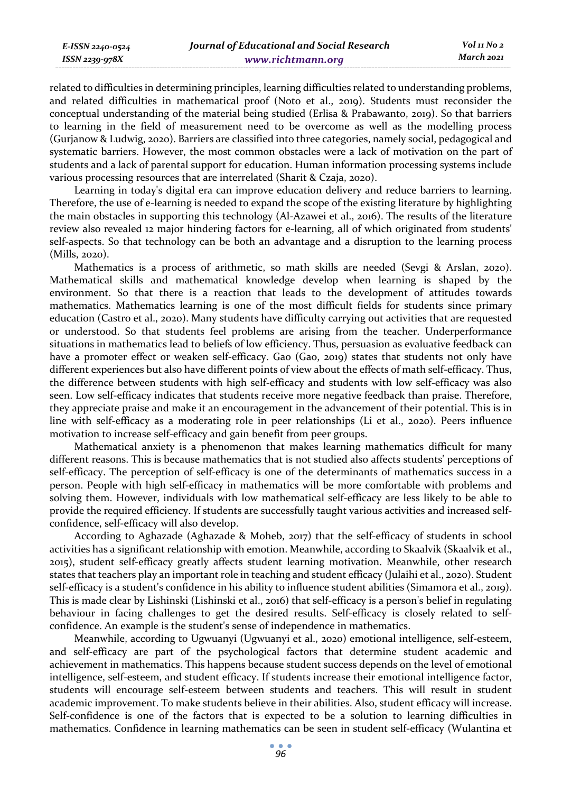| E-ISSN 2240-0524 | Journal of Educational and Social Research | Vol 11 No 2 |
|------------------|--------------------------------------------|-------------|
| ISSN 2239-978X   | www.richtmann.org                          | March 2021  |

related to difficulties in determining principles, learning difficulties related to understanding problems, and related difficulties in mathematical proof (Noto et al., 2019). Students must reconsider the conceptual understanding of the material being studied (Erlisa & Prabawanto, 2019). So that barriers to learning in the field of measurement need to be overcome as well as the modelling process (Gurjanow & Ludwig, 2020). Barriers are classified into three categories, namely social, pedagogical and systematic barriers. However, the most common obstacles were a lack of motivation on the part of students and a lack of parental support for education. Human information processing systems include various processing resources that are interrelated (Sharit & Czaja, 2020).

Learning in today's digital era can improve education delivery and reduce barriers to learning. Therefore, the use of e-learning is needed to expand the scope of the existing literature by highlighting the main obstacles in supporting this technology (Al-Azawei et al., 2016). The results of the literature review also revealed 12 major hindering factors for e-learning, all of which originated from students' self-aspects. So that technology can be both an advantage and a disruption to the learning process (Mills, 2020).

Mathematics is a process of arithmetic, so math skills are needed (Sevgi & Arslan, 2020). Mathematical skills and mathematical knowledge develop when learning is shaped by the environment. So that there is a reaction that leads to the development of attitudes towards mathematics. Mathematics learning is one of the most difficult fields for students since primary education (Castro et al., 2020). Many students have difficulty carrying out activities that are requested or understood. So that students feel problems are arising from the teacher. Underperformance situations in mathematics lead to beliefs of low efficiency. Thus, persuasion as evaluative feedback can have a promoter effect or weaken self-efficacy. Gao (Gao, 2019) states that students not only have different experiences but also have different points of view about the effects of math self-efficacy. Thus, the difference between students with high self-efficacy and students with low self-efficacy was also seen. Low self-efficacy indicates that students receive more negative feedback than praise. Therefore, they appreciate praise and make it an encouragement in the advancement of their potential. This is in line with self-efficacy as a moderating role in peer relationships (Li et al., 2020). Peers influence motivation to increase self-efficacy and gain benefit from peer groups.

Mathematical anxiety is a phenomenon that makes learning mathematics difficult for many different reasons. This is because mathematics that is not studied also affects students' perceptions of self-efficacy. The perception of self-efficacy is one of the determinants of mathematics success in a person. People with high self-efficacy in mathematics will be more comfortable with problems and solving them. However, individuals with low mathematical self-efficacy are less likely to be able to provide the required efficiency. If students are successfully taught various activities and increased selfconfidence, self-efficacy will also develop.

According to Aghazade (Aghazade & Moheb, 2017) that the self-efficacy of students in school activities has a significant relationship with emotion. Meanwhile, according to Skaalvik (Skaalvik et al., 2015), student self-efficacy greatly affects student learning motivation. Meanwhile, other research states that teachers play an important role in teaching and student efficacy (Julaihi et al., 2020). Student self-efficacy is a student's confidence in his ability to influence student abilities (Simamora et al., 2019). This is made clear by Lishinski (Lishinski et al., 2016) that self-efficacy is a person's belief in regulating behaviour in facing challenges to get the desired results. Self-efficacy is closely related to selfconfidence. An example is the student's sense of independence in mathematics.

Meanwhile, according to Ugwuanyi (Ugwuanyi et al., 2020) emotional intelligence, self-esteem, and self-efficacy are part of the psychological factors that determine student academic and achievement in mathematics. This happens because student success depends on the level of emotional intelligence, self-esteem, and student efficacy. If students increase their emotional intelligence factor, students will encourage self-esteem between students and teachers. This will result in student academic improvement. To make students believe in their abilities. Also, student efficacy will increase. Self-confidence is one of the factors that is expected to be a solution to learning difficulties in mathematics. Confidence in learning mathematics can be seen in student self-efficacy (Wulantina et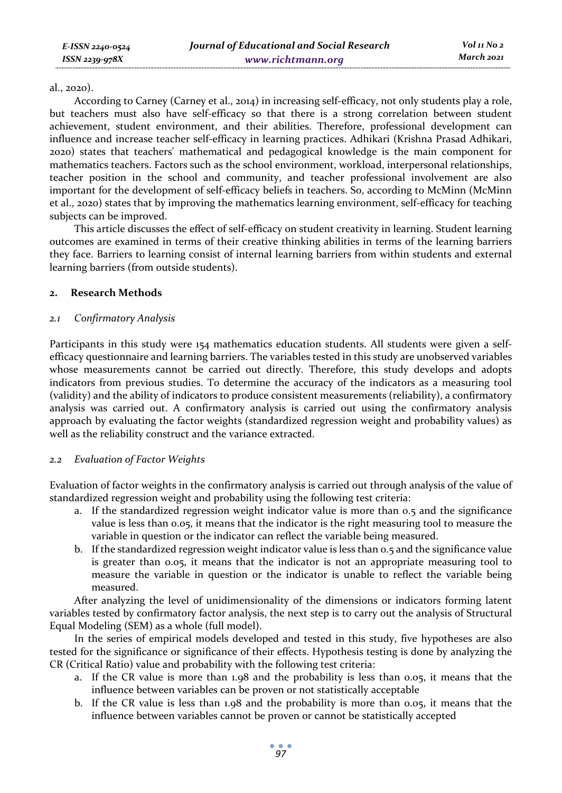#### al., 2020).

According to Carney (Carney et al., 2014) in increasing self-efficacy, not only students play a role, but teachers must also have self-efficacy so that there is a strong correlation between student achievement, student environment, and their abilities. Therefore, professional development can influence and increase teacher self-efficacy in learning practices. Adhikari (Krishna Prasad Adhikari, 2020) states that teachers' mathematical and pedagogical knowledge is the main component for mathematics teachers. Factors such as the school environment, workload, interpersonal relationships, teacher position in the school and community, and teacher professional involvement are also important for the development of self-efficacy beliefs in teachers. So, according to McMinn (McMinn et al., 2020) states that by improving the mathematics learning environment, self-efficacy for teaching subjects can be improved.

This article discusses the effect of self-efficacy on student creativity in learning. Student learning outcomes are examined in terms of their creative thinking abilities in terms of the learning barriers they face. Barriers to learning consist of internal learning barriers from within students and external learning barriers (from outside students).

#### **2. Research Methods**

# *2.1 Confirmatory Analysis*

Participants in this study were 154 mathematics education students. All students were given a selfefficacy questionnaire and learning barriers. The variables tested in this study are unobserved variables whose measurements cannot be carried out directly. Therefore, this study develops and adopts indicators from previous studies. To determine the accuracy of the indicators as a measuring tool (validity) and the ability of indicators to produce consistent measurements (reliability), a confirmatory analysis was carried out. A confirmatory analysis is carried out using the confirmatory analysis approach by evaluating the factor weights (standardized regression weight and probability values) as well as the reliability construct and the variance extracted.

# *2.2 Evaluation of Factor Weights*

Evaluation of factor weights in the confirmatory analysis is carried out through analysis of the value of standardized regression weight and probability using the following test criteria:

- a. If the standardized regression weight indicator value is more than 0.5 and the significance value is less than 0.05, it means that the indicator is the right measuring tool to measure the variable in question or the indicator can reflect the variable being measured.
- b. If the standardized regression weight indicator value is less than 0.5 and the significance value is greater than 0.05, it means that the indicator is not an appropriate measuring tool to measure the variable in question or the indicator is unable to reflect the variable being measured.

After analyzing the level of unidimensionality of the dimensions or indicators forming latent variables tested by confirmatory factor analysis, the next step is to carry out the analysis of Structural Equal Modeling (SEM) as a whole (full model).

In the series of empirical models developed and tested in this study, five hypotheses are also tested for the significance or significance of their effects. Hypothesis testing is done by analyzing the CR (Critical Ratio) value and probability with the following test criteria:

- a. If the CR value is more than 1.98 and the probability is less than 0.05, it means that the influence between variables can be proven or not statistically acceptable
- b. If the CR value is less than 1.98 and the probability is more than 0.05, it means that the influence between variables cannot be proven or cannot be statistically accepted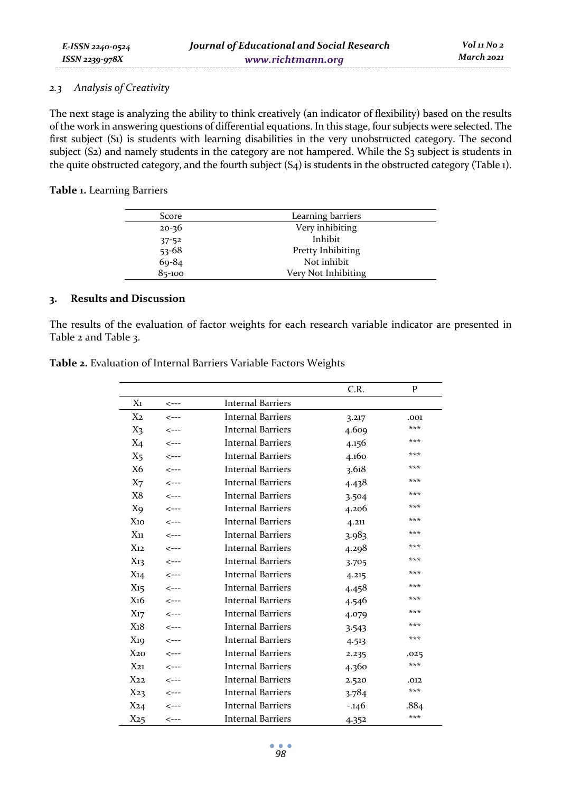#### *2.3 Analysis of Creativity*

The next stage is analyzing the ability to think creatively (an indicator of flexibility) based on the results of the work in answering questions of differential equations. In this stage, four subjects were selected. The first subject (S1) is students with learning disabilities in the very unobstructed category. The second subject (S2) and namely students in the category are not hampered. While the S3 subject is students in the quite obstructed category, and the fourth subject (S4) is students in the obstructed category (Table 1).

### **Table 1.** Learning Barriers

| Score      | Learning barriers   |
|------------|---------------------|
| $20 - 36$  | Very inhibiting     |
| $37 - 52$  | Inhibit             |
| $53 - 68$  | Pretty Inhibiting   |
| $69 - 84$  | Not inhibit         |
| $85 - 100$ | Very Not Inhibiting |

### **3. Results and Discussion**

The results of the evaluation of factor weights for each research variable indicator are presented in Table 2 and Table 3.

|                 |                          |                          | C.R.     | P    |
|-----------------|--------------------------|--------------------------|----------|------|
| $X_1$           | $\leftarrow$ --          | <b>Internal Barriers</b> |          |      |
| X <sub>2</sub>  | $\leftarrow$ ---         | <b>Internal Barriers</b> | 3.217    | .001 |
| X3              | $\leftarrow$ ---         | <b>Internal Barriers</b> | 4.609    | ***  |
| $X_4$           | $\leftarrow$ ---         | <b>Internal Barriers</b> | 4.156    | ***  |
| X <sub>5</sub>  | $\leftarrow$ ---         | <b>Internal Barriers</b> | 4.160    | ***  |
| X6              | $\leftarrow$ ---         | <b>Internal Barriers</b> | 3.618    | ***  |
| X <sub>7</sub>  | $\leftarrow$ ---         | <b>Internal Barriers</b> | 4.438    | ***  |
| X8              | $\leftarrow$ ---         | <b>Internal Barriers</b> | 3.504    | ***  |
| Xq              | $\leftarrow$ ---         | <b>Internal Barriers</b> | 4.206    | ***  |
| $X_{10}$        | $\leftarrow$ ---         | <b>Internal Barriers</b> | 4.211    | ***  |
| $X_{11}$        | $\leftarrow$ ---         | <b>Internal Barriers</b> | 3.983    | ***  |
| $X_{12}$        | $\leftarrow$ ---         | <b>Internal Barriers</b> | 4.298    | ***  |
| $X_{13}$        | $\mathtt{<}\mathtt{---}$ | <b>Internal Barriers</b> | 3.705    | ***  |
| $X_{14}$        | $\leftarrow$ ---         | <b>Internal Barriers</b> | 4.215    | ***  |
| $X_{15}$        | $\leftarrow$ ---         | <b>Internal Barriers</b> | 4.458    | ***  |
| X <sub>16</sub> | $\leftarrow$ ---         | <b>Internal Barriers</b> | 4.546    | ***  |
| $X_{17}$        | $\leftarrow$ ---         | <b>Internal Barriers</b> | 4.079    | ***  |
| $X_18$          | $\leftarrow$ ---         | <b>Internal Barriers</b> | 3.543    | ***  |
| $X_{19}$        | $\leftarrow$ ---         | <b>Internal Barriers</b> | 4.513    | ***  |
| $X_{20}$        | $\leftarrow$ ---         | <b>Internal Barriers</b> | 2.235    | .025 |
| $X_{21}$        | $\leftarrow$ ---         | <b>Internal Barriers</b> | 4.360    | ***  |
| $X_{22}$        | $\leftarrow$ ---         | <b>Internal Barriers</b> | 2.520    | .012 |
| $X_{23}$        | $\leftarrow$ --          | <b>Internal Barriers</b> | 3.784    | ***  |
| X24             | $\leftarrow$ ---         | <b>Internal Barriers</b> | $-0.146$ | .884 |
| $X_{25}$        | $\leftarrow$ ---         | <b>Internal Barriers</b> | 4.352    | ***  |

**Table 2.** Evaluation of Internal Barriers Variable Factors Weights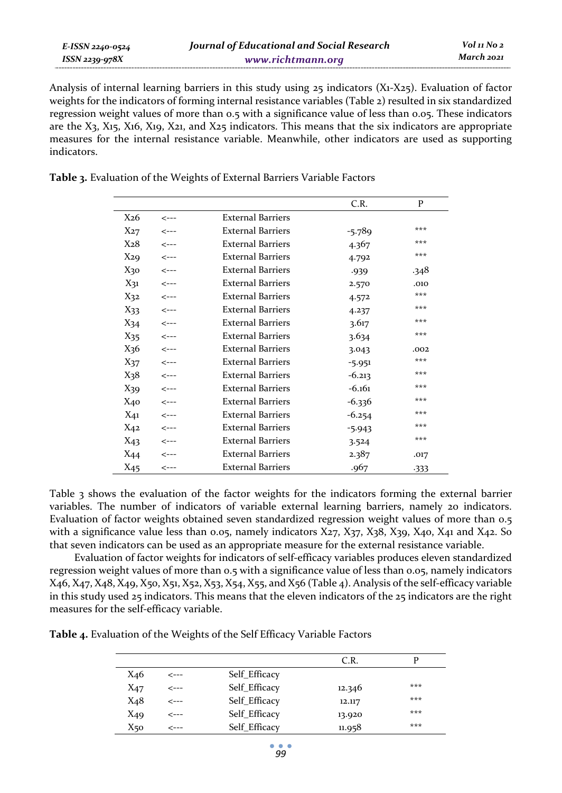| E-ISSN 2240-0524    | Journal of Educational and Social Research | Vol 11 No 2 |
|---------------------|--------------------------------------------|-------------|
| $ISSN$ 2239-97 $8X$ | www.richtmann.org                          | March 2021  |

Analysis of internal learning barriers in this study using 25 indicators (X1-X25). Evaluation of factor weights for the indicators of forming internal resistance variables (Table 2) resulted in six standardized regression weight values of more than 0.5 with a significance value of less than 0.05. These indicators are the X3, X15, X16, X19, X21, and X25 indicators. This means that the six indicators are appropriate measures for the internal resistance variable. Meanwhile, other indicators are used as supporting indicators.

**Table 3.** Evaluation of the Weights of External Barriers Variable Factors

|                 |                  |                          | C.R.     | P      |
|-----------------|------------------|--------------------------|----------|--------|
| X <sub>26</sub> | <---             | <b>External Barriers</b> |          |        |
| $X_{27}$        | $\leftarrow$ --- | <b>External Barriers</b> | $-5.789$ | ***    |
| X <sub>28</sub> | $\leftarrow$ --- | <b>External Barriers</b> | 4.367    | ***    |
| $X_{29}$        | $\leftarrow$ --- | <b>External Barriers</b> | 4.792    | ***    |
| X30             | $\leftarrow$ --- | <b>External Barriers</b> | .939     | .348   |
| $X_{31}$        | <---             | <b>External Barriers</b> | 2.570    | .010   |
| $X_{32}$        | <---             | <b>External Barriers</b> | 4.572    | ***    |
| $X_{33}$        | $\leftarrow$ --- | <b>External Barriers</b> | 4.237    | ***    |
| $X_{34}$        | $\leftarrow$ --- | <b>External Barriers</b> | 3.617    | ***    |
| $X_{35}$        | $\leftarrow$ --- | <b>External Barriers</b> | 3.634    | ***    |
| X <sub>36</sub> | $\leftarrow$ --- | <b>External Barriers</b> | 3.043    | .002   |
| $X_{37}$        | $\leftarrow$ --- | <b>External Barriers</b> | $-5.951$ | ***    |
| $X_38$          | $\leftarrow$ --- | <b>External Barriers</b> | $-6.213$ | ***    |
| X39             | $\leftarrow$ --- | <b>External Barriers</b> | $-6.161$ | ***    |
| $X_{40}$        | <---             | <b>External Barriers</b> | $-6.336$ | ***    |
| $X_{41}$        | <---             | <b>External Barriers</b> | $-6.254$ | ***    |
| $X_{42}$        | <---             | <b>External Barriers</b> | $-5.943$ | ***    |
| $X_{43}$        | $\leftarrow$ --- | <b>External Barriers</b> | 3.524    | ***    |
| X44             | <---             | <b>External Barriers</b> | 2.387    | .017   |
| $X_{45}$        | $\leftarrow$ --  | <b>External Barriers</b> | .967     | $-333$ |

Table 3 shows the evaluation of the factor weights for the indicators forming the external barrier variables. The number of indicators of variable external learning barriers, namely 20 indicators. Evaluation of factor weights obtained seven standardized regression weight values of more than 0.5 with a significance value less than 0.05, namely indicators  $X_{27}$ ,  $X_{37}$ ,  $X_{38}$ ,  $X_{39}$ ,  $X_{40}$ ,  $X_{41}$  and  $X_{42}$ . So that seven indicators can be used as an appropriate measure for the external resistance variable.

Evaluation of factor weights for indicators of self-efficacy variables produces eleven standardized regression weight values of more than 0.5 with a significance value of less than 0.05, namely indicators X46, X47, X48, X49, X50, X51, X52, X53, X54, X55, and X56 (Table 4). Analysis of the self-efficacy variable in this study used 25 indicators. This means that the eleven indicators of the 25 indicators are the right measures for the self-efficacy variable.

|                 |      |               | C.R.   |     |
|-----------------|------|---------------|--------|-----|
| X46             | <--- | Self_Efficacy |        |     |
| $X_{47}$        | <--- | Self_Efficacy | 12.346 | *** |
| X <sub>48</sub> | <--- | Self_Efficacy | 12.117 | *** |
| X49             | <--- | Self_Efficacy | 13.920 | *** |
| X50             | ---> | Self_Efficacy | 11.958 | *** |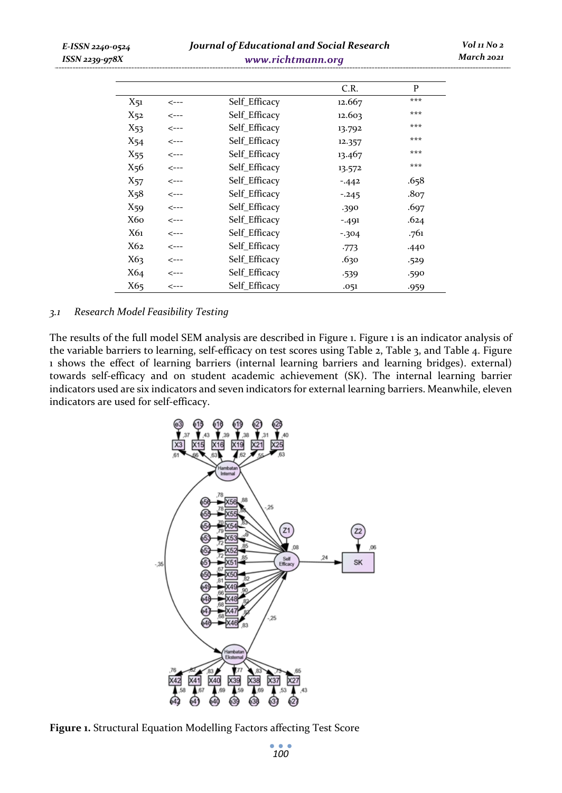| E-ISSN 2240-0524<br>ISSN 2239-978X |                 | <b>Journal of Educational and Social Research</b> | Vol 11 No 2<br>March 2021 |          |      |  |
|------------------------------------|-----------------|---------------------------------------------------|---------------------------|----------|------|--|
|                                    |                 |                                                   |                           | C.R.     | P    |  |
|                                    | $X_{51}$        | <---                                              | Self_Efficacy             | 12.667   | ***  |  |
|                                    | X52             | <---                                              | Self_Efficacy             | 12.603   | ***  |  |
|                                    | $X_{53}$        | <---                                              | Self_Efficacy             | 13.792   | ***  |  |
|                                    | X54             | <---                                              | Self_Efficacy             | 12.357   | ***  |  |
|                                    | X <sub>55</sub> | <---                                              | Self_Efficacy             | 13.467   | ***  |  |
|                                    | X <sub>56</sub> | <---                                              | Self_Efficacy             | 13.572   | ***  |  |
|                                    | X57             | <---                                              | Self_Efficacy             | $-442$   | .658 |  |
|                                    | $X_58$          | <---                                              | Self_Efficacy             | $-0.245$ | .807 |  |
|                                    | X59             | <---                                              | Self_Efficacy             | .390     | .697 |  |
|                                    | <b>X60</b>      | <---                                              | Self_Efficacy             | $-491$   | .624 |  |
|                                    | X61             | <---                                              | Self_Efficacy             | $-304$   | .761 |  |
|                                    | X62             | <---                                              | Self_Efficacy             | $-773$   | .440 |  |
|                                    | X63             | <---                                              | Self_Efficacy             | .630     | .529 |  |
|                                    | X64             | <---                                              | Self_Efficacy             | $-539$   | .590 |  |
|                                    | X65             | <---                                              | Self Efficacy             | .051     | .959 |  |

#### *3.1 Research Model Feasibility Testing*

The results of the full model SEM analysis are described in Figure 1. Figure 1 is an indicator analysis of the variable barriers to learning, self-efficacy on test scores using Table 2, Table 3, and Table 4. Figure 1 shows the effect of learning barriers (internal learning barriers and learning bridges). external) towards self-efficacy and on student academic achievement (SK). The internal learning barrier indicators used are six indicators and seven indicators for external learning barriers. Meanwhile, eleven indicators are used for self-efficacy.



**Figure 1.** Structural Equation Modelling Factors affecting Test Score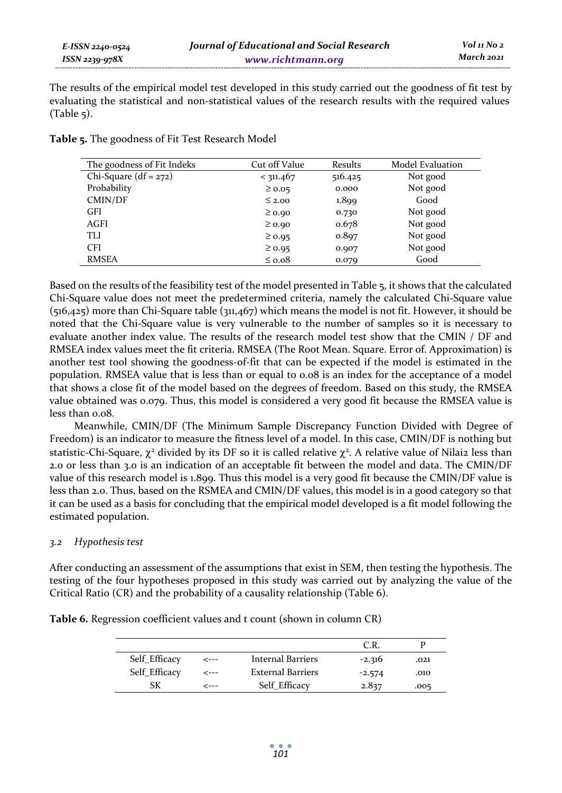The results of the empirical model test developed in this study carried out the goodness of fit test by evaluating the statistical and non-statistical values of the research results with the required values  $(Table 5)$ .

| The goodness of Fit Indeks | Cut off Value | Results | Model Evaluation |
|----------------------------|---------------|---------|------------------|
| Chi-Square $(df = 272)$    | < 311.467     | 516.425 | Not good         |
| Probability                | $\geq 0.05$   | 0.000   | Not good         |
| CMIN/DF                    | $\leq$ 2.00   | 1.899   | Good             |
| <b>GFI</b>                 | $\geq 0.90$   | 0.730   | Not good         |
| AGFI                       | $\geq 0.90$   | 0.678   | Not good         |
| TLI                        | $\geq 0.95$   | 0.897   | Not good         |
| <b>CFI</b>                 | $\geq 0.95$   | 0.907   | Not good         |
| <b>RMSEA</b>               | $\leq 0.08$   | 0.079   | Good             |

**Table 5.** The goodness of Fit Test Research Model

Based on the results of the feasibility test of the model presented in Table 5, it shows that the calculated Chi-Square value does not meet the predetermined criteria, namely the calculated Chi-Square value (516,425) more than Chi-Square table (311,467) which means the model is not fit. However, it should be noted that the Chi-Square value is very vulnerable to the number of samples so it is necessary to evaluate another index value. The results of the research model test show that the CMIN / DF and RMSEA index values meet the fit criteria. RMSEA (The Root Mean. Square. Error of. Approximation) is another test tool showing the goodness-of-fit that can be expected if the model is estimated in the population. RMSEA value that is less than or equal to 0.08 is an index for the acceptance of a model that shows a close fit of the model based on the degrees of freedom. Based on this study, the RMSEA value obtained was 0.079. Thus, this model is considered a very good fit because the RMSEA value is less than 0.08.

Meanwhile, CMIN/DF (The Minimum Sample Discrepancy Function Divided with Degree of Freedom) is an indicator to measure the fitness level of a model. In this case, CMIN/DF is nothing but statistic-Chi-Square,  $\chi^2$  divided by its DF so it is called relative  $\chi^2$ . A relative value of Nilai2 less than 2.0 or less than 3.0 is an indication of an acceptable fit between the model and data. The CMIN/DF value of this research model is 1.899. Thus this model is a very good fit because the CMIN/DF value is less than 2.0. Thus, based on the RSMEA and CMIN/DF values, this model is in a good category so that it can be used as a basis for concluding that the empirical model developed is a fit model following the estimated population.

# *3.2 Hypothesis test*

After conducting an assessment of the assumptions that exist in SEM, then testing the hypothesis. The testing of the four hypotheses proposed in this study was carried out by analyzing the value of the Critical Ratio (CR) and the probability of a causality relationship (Table 6).

**Table 6.** Regression coefficient values and t count (shown in column CR)

|               |      |                          | C.R      |      |
|---------------|------|--------------------------|----------|------|
| Self Efficacy | <--- | Internal Barriers        | $-2.316$ | .021 |
| Self Efficacy | <--- | <b>External Barriers</b> | $-2.574$ | .010 |
| SK            | ---- | Self Efficacy            | 2.837    | .005 |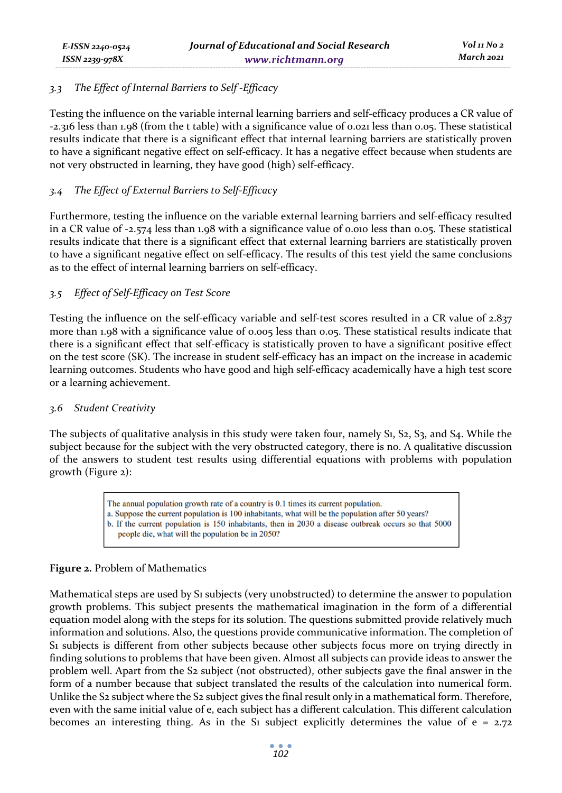# *3.3 The Effect of Internal Barriers to Self -Efficacy*

Testing the influence on the variable internal learning barriers and self-efficacy produces a CR value of -2.316 less than 1.98 (from the t table) with a significance value of 0.021 less than 0.05. These statistical results indicate that there is a significant effect that internal learning barriers are statistically proven to have a significant negative effect on self-efficacy. It has a negative effect because when students are not very obstructed in learning, they have good (high) self-efficacy.

# *3.4 The Effect of External Barriers to Self-Efficacy*

Furthermore, testing the influence on the variable external learning barriers and self-efficacy resulted in a CR value of -2.574 less than 1.98 with a significance value of 0.010 less than 0.05. These statistical results indicate that there is a significant effect that external learning barriers are statistically proven to have a significant negative effect on self-efficacy. The results of this test yield the same conclusions as to the effect of internal learning barriers on self-efficacy.

# *3.5 Effect of Self-Efficacy on Test Score*

Testing the influence on the self-efficacy variable and self-test scores resulted in a CR value of 2.837 more than 1.98 with a significance value of 0.005 less than 0.05. These statistical results indicate that there is a significant effect that self-efficacy is statistically proven to have a significant positive effect on the test score (SK). The increase in student self-efficacy has an impact on the increase in academic learning outcomes. Students who have good and high self-efficacy academically have a high test score or a learning achievement.

# *3.6 Student Creativity*

The subjects of qualitative analysis in this study were taken four, namely S<sub>1</sub>, S<sub>2</sub>, S<sub>3</sub>, and S<sub>4</sub>. While the subject because for the subject with the very obstructed category, there is no. A qualitative discussion of the answers to student test results using differential equations with problems with population growth (Figure 2):

> The annual population growth rate of a country is 0.1 times its current population. a. Suppose the current population is 100 inhabitants, what will be the population after 50 years? b. If the current population is 150 inhabitants, then in 2030 a disease outbreak occurs so that 5000 people die, what will the population be in 2050?

# **Figure 2.** Problem of Mathematics

Mathematical steps are used by S1 subjects (very unobstructed) to determine the answer to population growth problems. This subject presents the mathematical imagination in the form of a differential equation model along with the steps for its solution. The questions submitted provide relatively much information and solutions. Also, the questions provide communicative information. The completion of S1 subjects is different from other subjects because other subjects focus more on trying directly in finding solutions to problems that have been given. Almost all subjects can provide ideas to answer the problem well. Apart from the S2 subject (not obstructed), other subjects gave the final answer in the form of a number because that subject translated the results of the calculation into numerical form. Unlike the S<sub>2</sub> subject where the S<sub>2</sub> subject gives the final result only in a mathematical form. Therefore, even with the same initial value of e, each subject has a different calculation. This different calculation becomes an interesting thing. As in the S<sub>1</sub> subject explicitly determines the value of  $e = 2.72$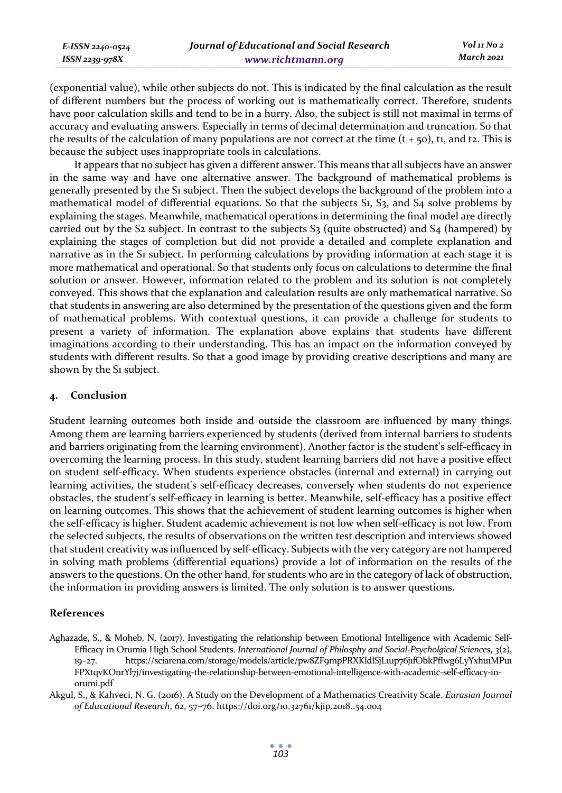| E-ISSN 2240-0524 | Journal of Educational and Social Research | Vol 11 No 2 |
|------------------|--------------------------------------------|-------------|
| ISSN 2239-978X   | www.richtmann.org                          | March 2021  |

(exponential value), while other subjects do not. This is indicated by the final calculation as the result of different numbers but the process of working out is mathematically correct. Therefore, students have poor calculation skills and tend to be in a hurry. Also, the subject is still not maximal in terms of accuracy and evaluating answers. Especially in terms of decimal determination and truncation. So that the results of the calculation of many populations are not correct at the time  $(t + 50)$ , ti, and t2. This is because the subject uses inappropriate tools in calculations.

It appears that no subject has given a different answer. This means that all subjects have an answer in the same way and have one alternative answer. The background of mathematical problems is generally presented by the S1 subject. Then the subject develops the background of the problem into a mathematical model of differential equations. So that the subjects S1, S3, and S4 solve problems by explaining the stages. Meanwhile, mathematical operations in determining the final model are directly carried out by the S<sub>2</sub> subject. In contrast to the subjects  $S_3$  (quite obstructed) and  $S_4$  (hampered) by explaining the stages of completion but did not provide a detailed and complete explanation and narrative as in the S1 subject. In performing calculations by providing information at each stage it is more mathematical and operational. So that students only focus on calculations to determine the final solution or answer. However, information related to the problem and its solution is not completely conveyed. This shows that the explanation and calculation results are only mathematical narrative. So that students in answering are also determined by the presentation of the questions given and the form of mathematical problems. With contextual questions, it can provide a challenge for students to present a variety of information. The explanation above explains that students have different imaginations according to their understanding. This has an impact on the information conveyed by students with different results. So that a good image by providing creative descriptions and many are shown by the S<sub>1</sub> subject.

### **4. Conclusion**

Student learning outcomes both inside and outside the classroom are influenced by many things. Among them are learning barriers experienced by students (derived from internal barriers to students and barriers originating from the learning environment). Another factor is the student's self-efficacy in overcoming the learning process. In this study, student learning barriers did not have a positive effect on student self-efficacy. When students experience obstacles (internal and external) in carrying out learning activities, the student's self-efficacy decreases, conversely when students do not experience obstacles, the student's self-efficacy in learning is better. Meanwhile, self-efficacy has a positive effect on learning outcomes. This shows that the achievement of student learning outcomes is higher when the self-efficacy is higher. Student academic achievement is not low when self-efficacy is not low. From the selected subjects, the results of observations on the written test description and interviews showed that student creativity was influenced by self-efficacy. Subjects with the very category are not hampered in solving math problems (differential equations) provide a lot of information on the results of the answers to the questions. On the other hand, for students who are in the category of lack of obstruction, the information in providing answers is limited. The only solution is to answer questions.

#### **References**

- Aghazade, S., & Moheb, N. (2017). Investigating the relationship between Emotional Intelligence with Academic Self-Efficacy in Orumia High School Students. *International Journal of Philosphy and Social-Psycholgical Sciences*, *3*(2), 19–27. https://sciarena.com/storage/models/article/pw8ZF9mpPRXKldlSjL1up76j1fObkPfIwg6LyYxhu1MPu1 FPXtqvKOnrYl7j/investigating-the-relationship-between-emotional-intelligence-with-academic-self-efficacy-inorumi.pdf
- Akgul, S., & Kahveci, N. G. (2016). A Study on the Development of a Mathematics Creativity Scale. *Eurasian Journal of Educational Research*, *62*, 57–76. https://doi.org/10.32761/kjip.2018..54.004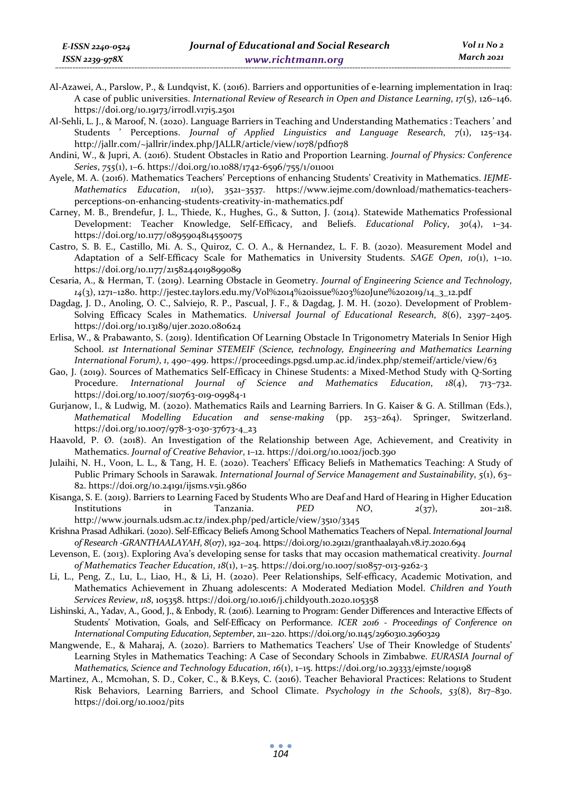- Al-Azawei, A., Parslow, P., & Lundqvist, K. (2016). Barriers and opportunities of e-learning implementation in Iraq: A case of public universities. *International Review of Research in Open and Distance Learning*, *17*(5), 126–146. https://doi.org/10.19173/irrodl.v17i5.2501
- Al-Sehli, L. J., & Maroof, N. (2020). Language Barriers in Teaching and Understanding Mathematics : Teachers ' and Students ' Perceptions. *Journal of Applied Linguistics and Language Research*, *7*(1), 125–134. http://jallr.com/~jallrir/index.php/JALLR/article/view/1078/pdf1078
- Andini, W., & Jupri, A. (2016). Student Obstacles in Ratio and Proportion Learning. *Journal of Physics: Conference Series*, *755*(1), 1–6. https://doi.org/10.1088/1742-6596/755/1/011001
- Ayele, M. A. (2016). Mathematics Teachers' Perceptions of enhancing Students' Creativity in Mathematics. *IEJME-Mathematics Education*, *11*(10), 3521–3537. https://www.iejme.com/download/mathematics-teachersperceptions-on-enhancing-students-creativity-in-mathematics.pdf
- Carney, M. B., Brendefur, J. L., Thiede, K., Hughes, G., & Sutton, J. (2014). Statewide Mathematics Professional Development: Teacher Knowledge, Self-Efficacy, and Beliefs. *Educational Policy*, *30*(4), 1–34. https://doi.org/10.1177/0895904814550075
- Castro, S. B. E., Castillo, Mi. A. S., Quiroz, C. O. A., & Hernandez, L. F. B. (2020). Measurement Model and Adaptation of a Self-Efficacy Scale for Mathematics in University Students. *SAGE Open*, *10*(1), 1–10. https://doi.org/10.1177/2158244019899089
- Cesaria, A., & Herman, T. (2019). Learning Obstacle in Geometry. *Journal of Engineering Science and Technology*, *14*(3), 1271–1280. http://jestec.taylors.edu.my/Vol%2014%20issue%203%20June%202019/14\_3\_12.pdf
- Dagdag, J. D., Anoling, O. C., Salviejo, R. P., Pascual, J. F., & Dagdag, J. M. H. (2020). Development of Problem-Solving Efficacy Scales in Mathematics. *Universal Journal of Educational Research*, *8*(6), 2397–2405. https://doi.org/10.13189/ujer.2020.080624
- Erlisa, W., & Prabawanto, S. (2019). Identification Of Learning Obstacle In Trigonometry Materials In Senior High School. *1st International Seminar STEMEIF (Science, technology, Engineering and Mathematics Learning International Forum)*, *1*, 490–499. https://proceedings.pgsd.ump.ac.id/index.php/stemeif/article/view/63
- Gao, J. (2019). Sources of Mathematics Self-Efficacy in Chinese Students: a Mixed-Method Study with Q-Sorting Procedure. *International Journal of Science and Mathematics Education*, *18*(4), 713–732. https://doi.org/10.1007/s10763-019-09984-1
- Gurjanow, I., & Ludwig, M. (2020). Mathematics Rails and Learning Barriers. In G. Kaiser & G. A. Stillman (Eds.), *Mathematical Modelling Education and sense-making* (pp. 253–264). Springer, Switzerland. https://doi.org/10.1007/978-3-030-37673-4\_23
- Haavold, P. Ø. (2018). An Investigation of the Relationship between Age, Achievement, and Creativity in Mathematics. *Journal of Creative Behavior*, 1–12. https://doi.org/10.1002/jocb.390
- Julaihi, N. H., Voon, L. L., & Tang, H. E. (2020). Teachers' Efficacy Beliefs in Mathematics Teaching: A Study of Public Primary Schools in Sarawak. *International Journal of Service Management and Sustainability*, *5*(1), 63– 82. https://doi.org/10.24191/ijsms.v5i1.9860
- Kisanga, S. E. (2019). Barriers to Learning Faced by Students Who are Deaf and Hard of Hearing in Higher Education Institutions in Tanzania. *PED NO*, *2*(37), 201–218. http://www.journals.udsm.ac.tz/index.php/ped/article/view/3510/3345
- Krishna Prasad Adhikari. (2020). Self-Efficacy Beliefs Among School Mathematics Teachers of Nepal. *International Journal of Research -GRANTHAALAYAH*, *8*(07), 192–204. https://doi.org/10.29121/granthaalayah.v8.i7.2020.694
- Levenson, E. (2013). Exploring Ava's developing sense for tasks that may occasion mathematical creativity. *Journal of Mathematics Teacher Education*, *18*(1), 1–25. https://doi.org/10.1007/s10857-013-9262-3
- Li, L., Peng, Z., Lu, L., Liao, H., & Li, H. (2020). Peer Relationships, Self-efficacy, Academic Motivation, and Mathematics Achievement in Zhuang adolescents: A Moderated Mediation Model. *Children and Youth Services Review*, *118*, 105358. https://doi.org/10.1016/j.childyouth.2020.105358
- Lishinski, A., Yadav, A., Good, J., & Enbody, R. (2016). Learning to Program: Gender Differences and Interactive Effects of Students' Motivation, Goals, and Self-Efficacy on Performance. *ICER 2016 - Proceedings of Conference on International Computing Education*, *September*, 211–220. https://doi.org/10.1145/2960310.2960329
- Mangwende, E., & Maharaj, A. (2020). Barriers to Mathematics Teachers' Use of Their Knowledge of Students' Learning Styles in Mathematics Teaching: A Case of Secondary Schools in Zimbabwe. *EURASIA Journal of Mathematics, Science and Technology Education*, *16*(1), 1–15. https://doi.org/10.29333/ejmste/109198
- Martinez, A., Mcmohan, S. D., Coker, C., & B.Keys, C. (2016). Teacher Behavioral Practices: Relations to Student Risk Behaviors, Learning Barriers, and School Climate. *Psychology in the Schools*, *53*(8), 817–830. https://doi.org/10.1002/pits